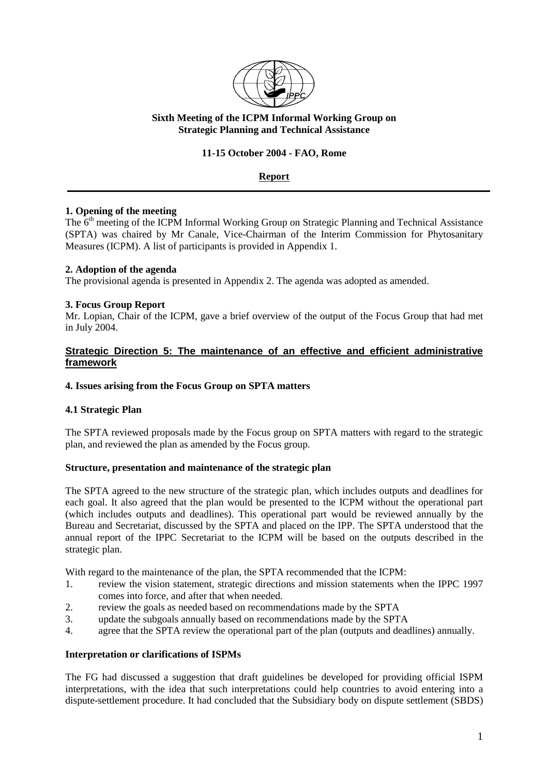

## **Sixth Meeting of the ICPM Informal Working Group on Strategic Planning and Technical Assistance**

## **11-15 October 2004 - FAO, Rome**

# **Report**

## **1. Opening of the meeting**

The  $6<sup>th</sup>$  meeting of the ICPM Informal Working Group on Strategic Planning and Technical Assistance (SPTA) was chaired by Mr Canale, Vice-Chairman of the Interim Commission for Phytosanitary Measures (ICPM). A list of participants is provided in Appendix 1.

### **2. Adoption of the agenda**

The provisional agenda is presented in Appendix 2. The agenda was adopted as amended.

### **3. Focus Group Report**

Mr. Lopian, Chair of the ICPM, gave a brief overview of the output of the Focus Group that had met in July 2004.

### **Strategic Direction 5: The maintenance of an effective and efficient administrative framework**

#### **4. Issues arising from the Focus Group on SPTA matters**

#### **4.1 Strategic Plan**

The SPTA reviewed proposals made by the Focus group on SPTA matters with regard to the strategic plan, and reviewed the plan as amended by the Focus group.

#### **Structure, presentation and maintenance of the strategic plan**

The SPTA agreed to the new structure of the strategic plan, which includes outputs and deadlines for each goal. It also agreed that the plan would be presented to the ICPM without the operational part (which includes outputs and deadlines). This operational part would be reviewed annually by the Bureau and Secretariat, discussed by the SPTA and placed on the IPP. The SPTA understood that the annual report of the IPPC Secretariat to the ICPM will be based on the outputs described in the strategic plan.

With regard to the maintenance of the plan, the SPTA recommended that the ICPM:

- 1. review the vision statement, strategic directions and mission statements when the IPPC 1997 comes into force, and after that when needed.
- 2. review the goals as needed based on recommendations made by the SPTA
- 3. update the subgoals annually based on recommendations made by the SPTA
- 4. agree that the SPTA review the operational part of the plan (outputs and deadlines) annually.

#### **Interpretation or clarifications of ISPMs**

The FG had discussed a suggestion that draft guidelines be developed for providing official ISPM interpretations, with the idea that such interpretations could help countries to avoid entering into a dispute-settlement procedure. It had concluded that the Subsidiary body on dispute settlement (SBDS)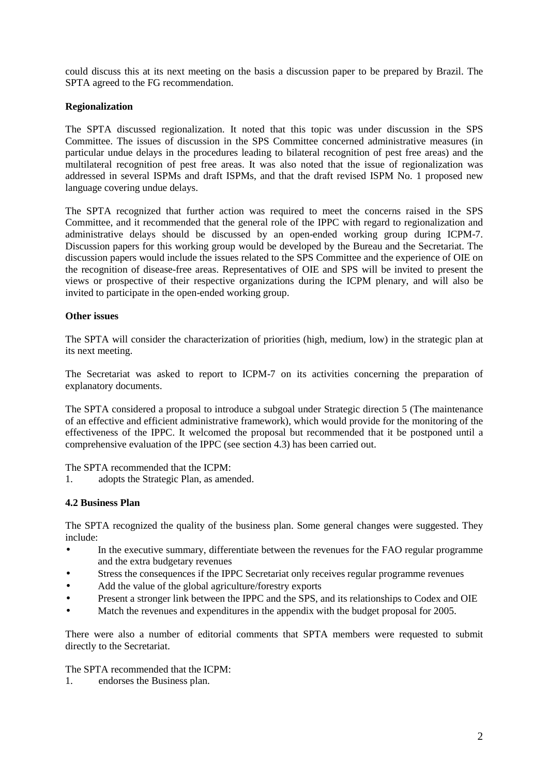could discuss this at its next meeting on the basis a discussion paper to be prepared by Brazil. The SPTA agreed to the FG recommendation.

### **Regionalization**

The SPTA discussed regionalization. It noted that this topic was under discussion in the SPS Committee. The issues of discussion in the SPS Committee concerned administrative measures (in particular undue delays in the procedures leading to bilateral recognition of pest free areas) and the multilateral recognition of pest free areas. It was also noted that the issue of regionalization was addressed in several ISPMs and draft ISPMs, and that the draft revised ISPM No. 1 proposed new language covering undue delays.

The SPTA recognized that further action was required to meet the concerns raised in the SPS Committee, and it recommended that the general role of the IPPC with regard to regionalization and administrative delays should be discussed by an open-ended working group during ICPM-7. Discussion papers for this working group would be developed by the Bureau and the Secretariat. The discussion papers would include the issues related to the SPS Committee and the experience of OIE on the recognition of disease-free areas. Representatives of OIE and SPS will be invited to present the views or prospective of their respective organizations during the ICPM plenary, and will also be invited to participate in the open-ended working group.

### **Other issues**

The SPTA will consider the characterization of priorities (high, medium, low) in the strategic plan at its next meeting.

The Secretariat was asked to report to ICPM-7 on its activities concerning the preparation of explanatory documents.

The SPTA considered a proposal to introduce a subgoal under Strategic direction 5 (The maintenance of an effective and efficient administrative framework), which would provide for the monitoring of the effectiveness of the IPPC. It welcomed the proposal but recommended that it be postponed until a comprehensive evaluation of the IPPC (see section 4.3) has been carried out.

The SPTA recommended that the ICPM:

1. adopts the Strategic Plan, as amended.

#### **4.2 Business Plan**

The SPTA recognized the quality of the business plan. Some general changes were suggested. They include:

- In the executive summary, differentiate between the revenues for the FAO regular programme and the extra budgetary revenues
- Stress the consequences if the IPPC Secretariat only receives regular programme revenues
- Add the value of the global agriculture/forestry exports
- Present a stronger link between the IPPC and the SPS, and its relationships to Codex and OIE
- Match the revenues and expenditures in the appendix with the budget proposal for 2005.

There were also a number of editorial comments that SPTA members were requested to submit directly to the Secretariat.

The SPTA recommended that the ICPM:

1. endorses the Business plan.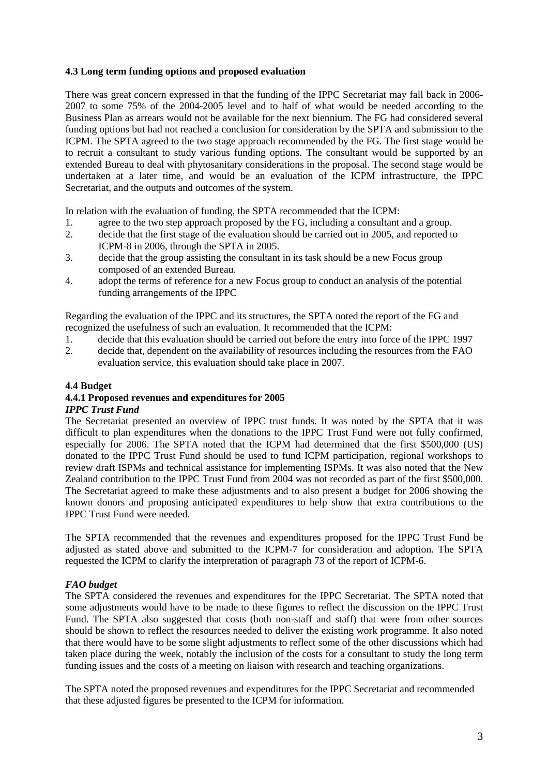## **4.3 Long term funding options and proposed evaluation**

There was great concern expressed in that the funding of the IPPC Secretariat may fall back in 2006- 2007 to some 75% of the 2004-2005 level and to half of what would be needed according to the Business Plan as arrears would not be available for the next biennium. The FG had considered several funding options but had not reached a conclusion for consideration by the SPTA and submission to the ICPM. The SPTA agreed to the two stage approach recommended by the FG. The first stage would be to recruit a consultant to study various funding options. The consultant would be supported by an extended Bureau to deal with phytosanitary considerations in the proposal. The second stage would be undertaken at a later time, and would be an evaluation of the ICPM infrastructure, the IPPC Secretariat, and the outputs and outcomes of the system.

In relation with the evaluation of funding, the SPTA recommended that the ICPM:

- 1. agree to the two step approach proposed by the FG, including a consultant and a group.
- 2. decide that the first stage of the evaluation should be carried out in 2005, and reported to ICPM-8 in 2006, through the SPTA in 2005.
- 3. decide that the group assisting the consultant in its task should be a new Focus group composed of an extended Bureau.
- 4. adopt the terms of reference for a new Focus group to conduct an analysis of the potential funding arrangements of the IPPC

Regarding the evaluation of the IPPC and its structures, the SPTA noted the report of the FG and recognized the usefulness of such an evaluation. It recommended that the ICPM:

- 1. decide that this evaluation should be carried out before the entry into force of the IPPC 1997
- 2. decide that, dependent on the availability of resources including the resources from the FAO evaluation service, this evaluation should take place in 2007.

### **4.4 Budget**

# **4.4.1 Proposed revenues and expenditures for 2005**

# *IPPC Trust Fund*

The Secretariat presented an overview of IPPC trust funds. It was noted by the SPTA that it was difficult to plan expenditures when the donations to the IPPC Trust Fund were not fully confirmed, especially for 2006. The SPTA noted that the ICPM had determined that the first \$500,000 (US) donated to the IPPC Trust Fund should be used to fund ICPM participation, regional workshops to review draft ISPMs and technical assistance for implementing ISPMs. It was also noted that the New Zealand contribution to the IPPC Trust Fund from 2004 was not recorded as part of the first \$500,000. The Secretariat agreed to make these adjustments and to also present a budget for 2006 showing the known donors and proposing anticipated expenditures to help show that extra contributions to the IPPC Trust Fund were needed.

The SPTA recommended that the revenues and expenditures proposed for the IPPC Trust Fund be adjusted as stated above and submitted to the ICPM-7 for consideration and adoption. The SPTA requested the ICPM to clarify the interpretation of paragraph 73 of the report of ICPM-6.

## *FAO budget*

The SPTA considered the revenues and expenditures for the IPPC Secretariat. The SPTA noted that some adjustments would have to be made to these figures to reflect the discussion on the IPPC Trust Fund. The SPTA also suggested that costs (both non-staff and staff) that were from other sources should be shown to reflect the resources needed to deliver the existing work programme. It also noted that there would have to be some slight adjustments to reflect some of the other discussions which had taken place during the week, notably the inclusion of the costs for a consultant to study the long term funding issues and the costs of a meeting on liaison with research and teaching organizations.

The SPTA noted the proposed revenues and expenditures for the IPPC Secretariat and recommended that these adjusted figures be presented to the ICPM for information.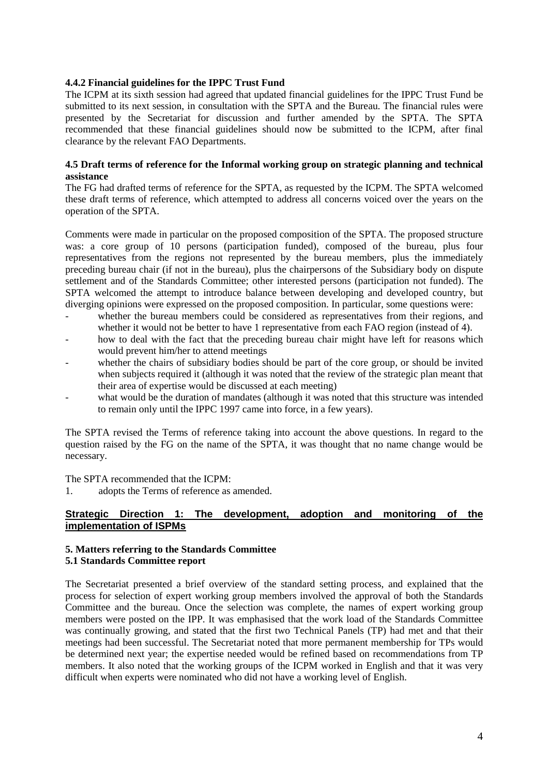#### **4.4.2 Financial guidelines for the IPPC Trust Fund**

The ICPM at its sixth session had agreed that updated financial guidelines for the IPPC Trust Fund be submitted to its next session, in consultation with the SPTA and the Bureau. The financial rules were presented by the Secretariat for discussion and further amended by the SPTA. The SPTA recommended that these financial guidelines should now be submitted to the ICPM, after final clearance by the relevant FAO Departments.

#### **4.5 Draft terms of reference for the Informal working group on strategic planning and technical assistance**

The FG had drafted terms of reference for the SPTA, as requested by the ICPM. The SPTA welcomed these draft terms of reference, which attempted to address all concerns voiced over the years on the operation of the SPTA.

Comments were made in particular on the proposed composition of the SPTA. The proposed structure was: a core group of 10 persons (participation funded), composed of the bureau, plus four representatives from the regions not represented by the bureau members, plus the immediately preceding bureau chair (if not in the bureau), plus the chairpersons of the Subsidiary body on dispute settlement and of the Standards Committee; other interested persons (participation not funded). The SPTA welcomed the attempt to introduce balance between developing and developed country, but diverging opinions were expressed on the proposed composition. In particular, some questions were:

- whether the bureau members could be considered as representatives from their regions, and whether it would not be better to have 1 representative from each FAO region (instead of 4).
- how to deal with the fact that the preceding bureau chair might have left for reasons which would prevent him/her to attend meetings
- whether the chairs of subsidiary bodies should be part of the core group, or should be invited when subjects required it (although it was noted that the review of the strategic plan meant that their area of expertise would be discussed at each meeting)
- what would be the duration of mandates (although it was noted that this structure was intended to remain only until the IPPC 1997 came into force, in a few years).

The SPTA revised the Terms of reference taking into account the above questions. In regard to the question raised by the FG on the name of the SPTA, it was thought that no name change would be necessary.

The SPTA recommended that the ICPM:

1. adopts the Terms of reference as amended.

## **Strategic Direction 1: The development, adoption and monitoring of the implementation of ISPMs**

#### **5. Matters referring to the Standards Committee 5.1 Standards Committee report**

The Secretariat presented a brief overview of the standard setting process, and explained that the process for selection of expert working group members involved the approval of both the Standards Committee and the bureau. Once the selection was complete, the names of expert working group members were posted on the IPP. It was emphasised that the work load of the Standards Committee was continually growing, and stated that the first two Technical Panels (TP) had met and that their meetings had been successful. The Secretariat noted that more permanent membership for TPs would be determined next year; the expertise needed would be refined based on recommendations from TP members. It also noted that the working groups of the ICPM worked in English and that it was very difficult when experts were nominated who did not have a working level of English.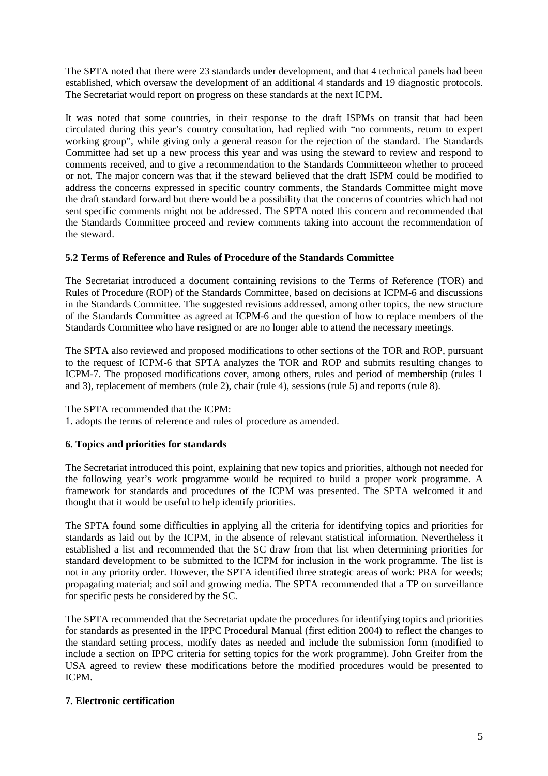The SPTA noted that there were 23 standards under development, and that 4 technical panels had been established, which oversaw the development of an additional 4 standards and 19 diagnostic protocols. The Secretariat would report on progress on these standards at the next ICPM.

It was noted that some countries, in their response to the draft ISPMs on transit that had been circulated during this year's country consultation, had replied with "no comments, return to expert working group", while giving only a general reason for the rejection of the standard. The Standards Committee had set up a new process this year and was using the steward to review and respond to comments received, and to give a recommendation to the Standards Committeeon whether to proceed or not. The major concern was that if the steward believed that the draft ISPM could be modified to address the concerns expressed in specific country comments, the Standards Committee might move the draft standard forward but there would be a possibility that the concerns of countries which had not sent specific comments might not be addressed. The SPTA noted this concern and recommended that the Standards Committee proceed and review comments taking into account the recommendation of the steward.

## **5.2 Terms of Reference and Rules of Procedure of the Standards Committee**

The Secretariat introduced a document containing revisions to the Terms of Reference (TOR) and Rules of Procedure (ROP) of the Standards Committee, based on decisions at ICPM-6 and discussions in the Standards Committee. The suggested revisions addressed, among other topics, the new structure of the Standards Committee as agreed at ICPM-6 and the question of how to replace members of the Standards Committee who have resigned or are no longer able to attend the necessary meetings.

The SPTA also reviewed and proposed modifications to other sections of the TOR and ROP, pursuant to the request of ICPM-6 that SPTA analyzes the TOR and ROP and submits resulting changes to ICPM-7. The proposed modifications cover, among others, rules and period of membership (rules 1 and 3), replacement of members (rule 2), chair (rule 4), sessions (rule 5) and reports (rule 8).

The SPTA recommended that the ICPM:

1. adopts the terms of reference and rules of procedure as amended.

## **6. Topics and priorities for standards**

The Secretariat introduced this point, explaining that new topics and priorities, although not needed for the following year's work programme would be required to build a proper work programme. A framework for standards and procedures of the ICPM was presented. The SPTA welcomed it and thought that it would be useful to help identify priorities.

The SPTA found some difficulties in applying all the criteria for identifying topics and priorities for standards as laid out by the ICPM, in the absence of relevant statistical information. Nevertheless it established a list and recommended that the SC draw from that list when determining priorities for standard development to be submitted to the ICPM for inclusion in the work programme. The list is not in any priority order. However, the SPTA identified three strategic areas of work: PRA for weeds; propagating material; and soil and growing media. The SPTA recommended that a TP on surveillance for specific pests be considered by the SC.

The SPTA recommended that the Secretariat update the procedures for identifying topics and priorities for standards as presented in the IPPC Procedural Manual (first edition 2004) to reflect the changes to the standard setting process, modify dates as needed and include the submission form (modified to include a section on IPPC criteria for setting topics for the work programme). John Greifer from the USA agreed to review these modifications before the modified procedures would be presented to ICPM.

## **7. Electronic certification**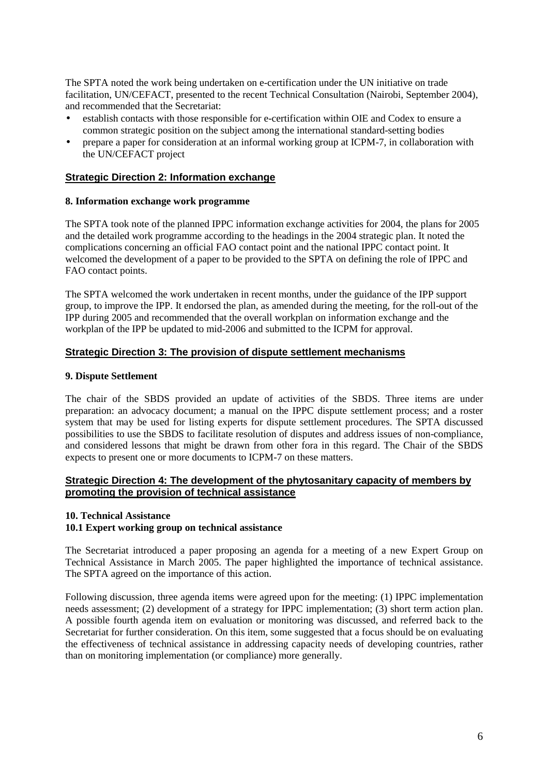The SPTA noted the work being undertaken on e-certification under the UN initiative on trade facilitation, UN/CEFACT, presented to the recent Technical Consultation (Nairobi, September 2004), and recommended that the Secretariat:

- establish contacts with those responsible for e-certification within OIE and Codex to ensure a common strategic position on the subject among the international standard-setting bodies
- prepare a paper for consideration at an informal working group at ICPM-7, in collaboration with the UN/CEFACT project

#### **Strategic Direction 2: Information exchange**

#### **8. Information exchange work programme**

The SPTA took note of the planned IPPC information exchange activities for 2004, the plans for 2005 and the detailed work programme according to the headings in the 2004 strategic plan. It noted the complications concerning an official FAO contact point and the national IPPC contact point. It welcomed the development of a paper to be provided to the SPTA on defining the role of IPPC and FAO contact points.

The SPTA welcomed the work undertaken in recent months, under the guidance of the IPP support group, to improve the IPP. It endorsed the plan, as amended during the meeting, for the roll-out of the IPP during 2005 and recommended that the overall workplan on information exchange and the workplan of the IPP be updated to mid-2006 and submitted to the ICPM for approval.

#### **Strategic Direction 3: The provision of dispute settlement mechanisms**

#### **9. Dispute Settlement**

The chair of the SBDS provided an update of activities of the SBDS. Three items are under preparation: an advocacy document; a manual on the IPPC dispute settlement process; and a roster system that may be used for listing experts for dispute settlement procedures. The SPTA discussed possibilities to use the SBDS to facilitate resolution of disputes and address issues of non-compliance, and considered lessons that might be drawn from other fora in this regard. The Chair of the SBDS expects to present one or more documents to ICPM-7 on these matters.

#### **Strategic Direction 4: The development of the phytosanitary capacity of members by promoting the provision of technical assistance**

#### **10. Technical Assistance**

#### **10.1 Expert working group on technical assistance**

The Secretariat introduced a paper proposing an agenda for a meeting of a new Expert Group on Technical Assistance in March 2005. The paper highlighted the importance of technical assistance. The SPTA agreed on the importance of this action.

Following discussion, three agenda items were agreed upon for the meeting: (1) IPPC implementation needs assessment; (2) development of a strategy for IPPC implementation; (3) short term action plan. A possible fourth agenda item on evaluation or monitoring was discussed, and referred back to the Secretariat for further consideration. On this item, some suggested that a focus should be on evaluating the effectiveness of technical assistance in addressing capacity needs of developing countries, rather than on monitoring implementation (or compliance) more generally.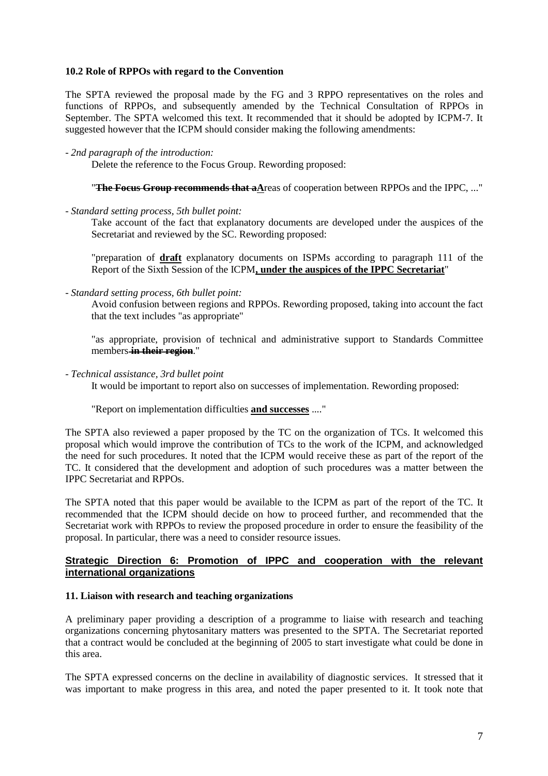#### **10.2 Role of RPPOs with regard to the Convention**

The SPTA reviewed the proposal made by the FG and 3 RPPO representatives on the roles and functions of RPPOs, and subsequently amended by the Technical Consultation of RPPOs in September. The SPTA welcomed this text. It recommended that it should be adopted by ICPM-7. It suggested however that the ICPM should consider making the following amendments:

Delete the reference to the Focus Group. Rewording proposed:

"**The Focus Group recommends that aA**reas of cooperation between RPPOs and the IPPC, ..."

- *Standard setting process, 5th bullet point:* 

Take account of the fact that explanatory documents are developed under the auspices of the Secretariat and reviewed by the SC. Rewording proposed:

"preparation of **draft** explanatory documents on ISPMs according to paragraph 111 of the Report of the Sixth Session of the ICPM**, under the auspices of the IPPC Secretariat**"

- *Standard setting process, 6th bullet point:*

Avoid confusion between regions and RPPOs. Rewording proposed, taking into account the fact that the text includes "as appropriate"

"as appropriate, provision of technical and administrative support to Standards Committee members **in their region**."

- *Technical assistance, 3rd bullet point* 

It would be important to report also on successes of implementation. Rewording proposed:

"Report on implementation difficulties **and successes** ...."

The SPTA also reviewed a paper proposed by the TC on the organization of TCs. It welcomed this proposal which would improve the contribution of TCs to the work of the ICPM, and acknowledged the need for such procedures. It noted that the ICPM would receive these as part of the report of the TC. It considered that the development and adoption of such procedures was a matter between the IPPC Secretariat and RPPOs.

The SPTA noted that this paper would be available to the ICPM as part of the report of the TC. It recommended that the ICPM should decide on how to proceed further, and recommended that the Secretariat work with RPPOs to review the proposed procedure in order to ensure the feasibility of the proposal. In particular, there was a need to consider resource issues.

### **Strategic Direction 6: Promotion of IPPC and cooperation with the relevant international organizations**

#### **11. Liaison with research and teaching organizations**

A preliminary paper providing a description of a programme to liaise with research and teaching organizations concerning phytosanitary matters was presented to the SPTA. The Secretariat reported that a contract would be concluded at the beginning of 2005 to start investigate what could be done in this area.

The SPTA expressed concerns on the decline in availability of diagnostic services. It stressed that it was important to make progress in this area, and noted the paper presented to it. It took note that

<sup>-</sup> *2nd paragraph of the introduction:*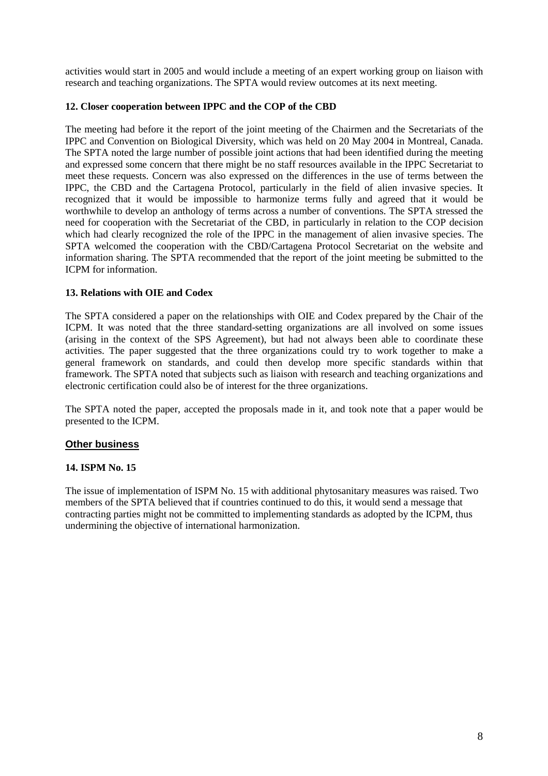activities would start in 2005 and would include a meeting of an expert working group on liaison with research and teaching organizations. The SPTA would review outcomes at its next meeting.

### **12. Closer cooperation between IPPC and the COP of the CBD**

The meeting had before it the report of the joint meeting of the Chairmen and the Secretariats of the IPPC and Convention on Biological Diversity, which was held on 20 May 2004 in Montreal, Canada. The SPTA noted the large number of possible joint actions that had been identified during the meeting and expressed some concern that there might be no staff resources available in the IPPC Secretariat to meet these requests. Concern was also expressed on the differences in the use of terms between the IPPC, the CBD and the Cartagena Protocol, particularly in the field of alien invasive species. It recognized that it would be impossible to harmonize terms fully and agreed that it would be worthwhile to develop an anthology of terms across a number of conventions. The SPTA stressed the need for cooperation with the Secretariat of the CBD, in particularly in relation to the COP decision which had clearly recognized the role of the IPPC in the management of alien invasive species. The SPTA welcomed the cooperation with the CBD/Cartagena Protocol Secretariat on the website and information sharing. The SPTA recommended that the report of the joint meeting be submitted to the ICPM for information.

### **13. Relations with OIE and Codex**

The SPTA considered a paper on the relationships with OIE and Codex prepared by the Chair of the ICPM. It was noted that the three standard-setting organizations are all involved on some issues (arising in the context of the SPS Agreement), but had not always been able to coordinate these activities. The paper suggested that the three organizations could try to work together to make a general framework on standards, and could then develop more specific standards within that framework. The SPTA noted that subjects such as liaison with research and teaching organizations and electronic certification could also be of interest for the three organizations.

The SPTA noted the paper, accepted the proposals made in it, and took note that a paper would be presented to the ICPM.

## **Other business**

#### **14. ISPM No. 15**

The issue of implementation of ISPM No. 15 with additional phytosanitary measures was raised. Two members of the SPTA believed that if countries continued to do this, it would send a message that contracting parties might not be committed to implementing standards as adopted by the ICPM, thus undermining the objective of international harmonization.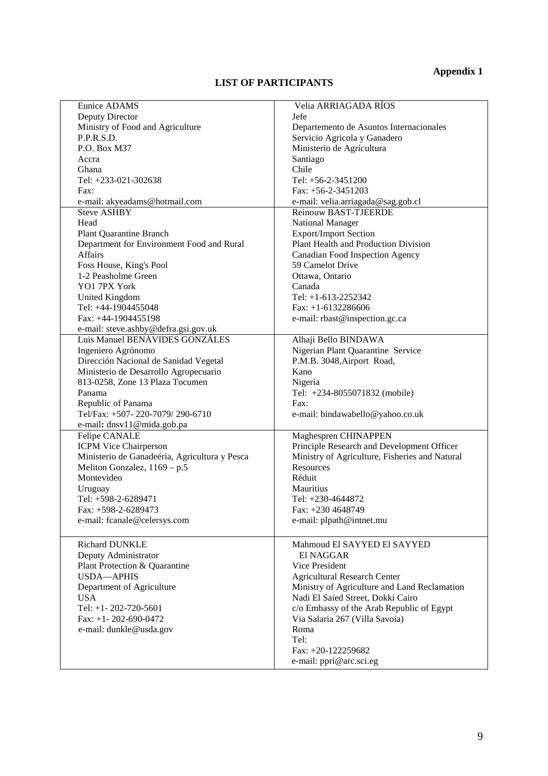# **Appendix 1**

# **LIST OF PARTICIPANTS**

| Eunice ADAMS                                  | Velia ARRIAGADA RÍOS                           |
|-----------------------------------------------|------------------------------------------------|
| Deputy Director                               | Jefe                                           |
| Ministry of Food and Agriculture              | Departemento de Asuntos Internacionales        |
| P.P.R.S.D.                                    | Servicio Agricola y Ganadero                   |
| P.O. Box M37                                  | Ministerio de Agrícultura                      |
| Accra                                         | Santiago                                       |
| Ghana                                         | Chile                                          |
| Tel: +233-021-302638                          | Tel: $+56-2-3451200$                           |
| Fax:                                          | Fax: $+56-2-3451203$                           |
| e-mail: akyeadams@hotmail.com                 | e-mail: velia.arriagada@sag.gob.cl             |
|                                               | <b>Reinouw BAST-TJEERDE</b>                    |
| <b>Steve ASHBY</b>                            |                                                |
| Head                                          | National Manager                               |
| <b>Plant Quarantine Branch</b>                | <b>Export/Import Section</b>                   |
| Department for Environment Food and Rural     | Plant Health and Production Division           |
| <b>Affairs</b>                                | Canadian Food Inspection Agency                |
| Foss House, King's Pool                       | 59 Camelot Drive                               |
| 1-2 Peasholme Green                           | Ottawa, Ontario                                |
| YO1 7PX York                                  | Canada                                         |
| United Kingdom                                | Tel: $+1-613-2252342$                          |
| Tel: +44-1904455048                           | Fax: $+1-6132286606$                           |
| Fax: $+44-1904455198$                         | e-mail: rbast@inspection.gc.ca                 |
| e-mail: steve.ashby@defra.gsi.gov.uk          |                                                |
| Luis Manuel BENAVIDES GONZÁLES                | Alhaji Bello BINDAWA                           |
| Ingeniero Agrónomo                            | Nigerian Plant Quarantine Service              |
| Dirección Nacional de Sanidad Vegetal         | P.M.B. 3048, Airport Road,                     |
| Ministerio de Desarrollo Agropecuario         | Kano                                           |
| 813-0258, Zone 13 Plaza Tocumen               | Nigeria                                        |
| Panama                                        | Tel: +234-8055071832 (mobile)                  |
| Republic of Panama                            | Fax:                                           |
| Tel/Fax: +507-220-7079/290-6710               | e-mail: bindawabello@yahoo.co.uk               |
| e-mail: dnsv11@mida.gob.pa                    |                                                |
| Felipe CANALE                                 | Maghespren CHINAPPEN                           |
|                                               |                                                |
| <b>ICPM Vice Chairperson</b>                  | Principle Research and Development Officer     |
| Ministerio de Ganadeéria, Agricultura y Pesca | Ministry of Agriculture, Fisheries and Natural |
| Meliton Gonzalez, 1169 - p.5                  | Resources                                      |
| Montevideo                                    | Réduit                                         |
| Uruguay                                       | Mauritius                                      |
| Tel: +598-2-6289471                           | Tel: +230-4644872                              |
| Fax: +598-2-6289473                           | Fax: +230 4648749                              |
| e-mail: fcanale@celersys.com                  | e-mail: plpath@intnet.mu                       |
|                                               |                                                |
| Richard DUNKLE                                | Mahmoud El SAYYED El SAYYED                    |
| Deputy Administrator                          | <b>El NAGGAR</b>                               |
| Plant Protection & Quarantine                 | Vice President                                 |
| <b>USDA-APHIS</b>                             | <b>Agricultural Research Center</b>            |
| Department of Agriculture                     | Ministry of Agriculture and Land Reclamation   |
| <b>USA</b>                                    | Nadi El Saied Street, Dokki Cairo              |
| Tel: $+1 - 202 - 720 - 5601$                  | c/o Embassy of the Arab Republic of Egypt      |
|                                               |                                                |
| Fax: $+1 - 202 - 690 - 0472$                  | Via Salaria 267 (Villa Savoia)                 |
| e-mail: dunkle@usda.gov                       | Roma                                           |
|                                               | Tel:                                           |
|                                               | Fax: +20-122259682                             |
|                                               | e-mail: ppri@arc.sci.eg                        |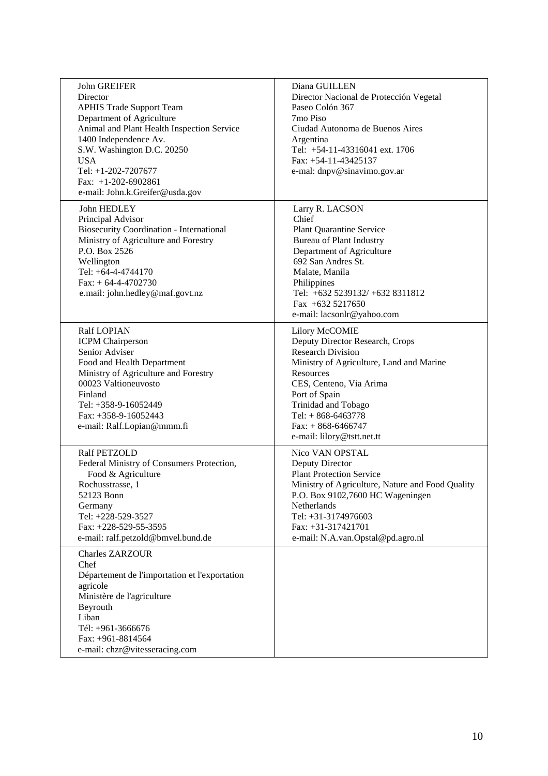| John GREIFER<br>Director<br><b>APHIS Trade Support Team</b><br>Department of Agriculture<br>Animal and Plant Health Inspection Service<br>1400 Independence Av.<br>S.W. Washington D.C. 20250<br><b>USA</b><br>Tel: +1-202-7207677<br>Fax: $+1-202-6902861$<br>e-mail: John.k.Greifer@usda.gov | Diana GUILLEN<br>Director Nacional de Protección Vegetal<br>Paseo Colón 367<br>7mo Piso<br>Ciudad Autonoma de Buenos Aires<br>Argentina<br>Tel: +54-11-43316041 ext. 1706<br>Fax: $+54-11-43425137$<br>e-mal: dnpv@sinavimo.gov.ar                                                     |
|------------------------------------------------------------------------------------------------------------------------------------------------------------------------------------------------------------------------------------------------------------------------------------------------|----------------------------------------------------------------------------------------------------------------------------------------------------------------------------------------------------------------------------------------------------------------------------------------|
| John HEDLEY<br>Principal Advisor<br><b>Biosecurity Coordination - International</b><br>Ministry of Agriculture and Forestry<br>P.O. Box 2526<br>Wellington<br>Tel: +64-4-4744170<br>$Fax: + 64-4-4702730$<br>e.mail: john.hedley@maf.govt.nz                                                   | Larry R. LACSON<br>Chief<br><b>Plant Quarantine Service</b><br><b>Bureau of Plant Industry</b><br>Department of Agriculture<br>692 San Andres St.<br>Malate, Manila<br>Philippines<br>Tel: +632 5239132/ +632 8311812<br>Fax $+632$ 5217650<br>e-mail: lacsonlr@yahoo.com              |
| <b>Ralf LOPIAN</b><br><b>ICPM</b> Chairperson<br>Senior Adviser<br>Food and Health Department<br>Ministry of Agriculture and Forestry<br>00023 Valtioneuvosto<br>Finland<br>Tel: +358-9-16052449<br>Fax: $+358-9-16052443$<br>e-mail: Ralf.Lopian@mmm.fi                                       | Lilory McCOMIE<br>Deputy Director Research, Crops<br><b>Research Division</b><br>Ministry of Agriculture, Land and Marine<br>Resources<br>CES, Centeno, Via Arima<br>Port of Spain<br>Trinidad and Tobago<br>Tel: $+868-6463778$<br>$Fax: + 868-6466747$<br>e-mail: lilory@tstt.net.tt |
| Ralf PETZOLD<br>Federal Ministry of Consumers Protection,<br>Food & Agriculture<br>Rochusstrasse, 1<br>52123 Bonn<br>Germany<br>Tel: +228-529-3527<br>Fax: +228-529-55-3595<br>e-mail: ralf.petzold@bmvel.bund.de                                                                              | Nico VAN OPSTAL<br>Deputy Director<br><b>Plant Protection Service</b><br>Ministry of Agriculture, Nature and Food Quality<br>P.O. Box 9102,7600 HC Wageningen<br><b>Netherlands</b><br>Tel: +31-3174976603<br>Fax: +31-317421701<br>e-mail: N.A.van.Opstal@pd.agro.nl                  |
| <b>Charles ZARZOUR</b><br>Chef<br>Département de l'importation et l'exportation<br>agricole<br>Ministère de l'agriculture<br>Beyrouth<br>Liban<br>Tél: +961-3666676<br>Fax: +961-8814564<br>e-mail: chzr@vitesseracing.com                                                                     |                                                                                                                                                                                                                                                                                        |